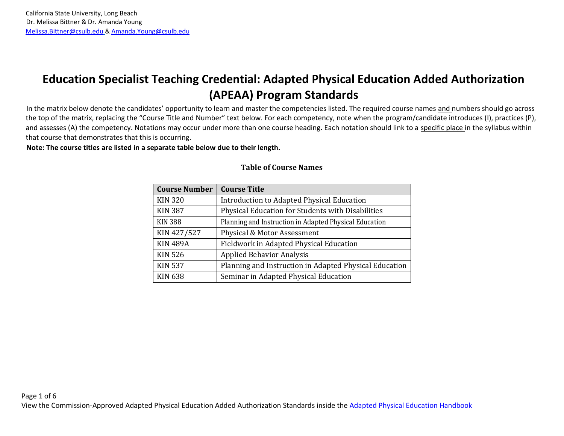## **Education Specialist Teaching Credential: Adapted Physical Education Added Authorization (APEAA) Program Standards**

In the matrix below denote the candidates' opportunity to learn and master the competencies listed. The required course names and numbers should go across the top of the matrix, replacing the "Course Title and Number" text below. For each competency, note when the program/candidate introduces (I), practices (P), and assesses (A) the competency. Notations may occur under more than one course heading. Each notation should link to a specific place in the syllabus within that course that demonstrates that this is occurring.

**Note: The course titles are listed in a separate table below due to their length.**

| <b>Course Number</b> | <b>Course Title</b>                                    |
|----------------------|--------------------------------------------------------|
| <b>KIN 320</b>       | Introduction to Adapted Physical Education             |
| <b>KIN 387</b>       | Physical Education for Students with Disabilities      |
| <b>KIN 388</b>       | Planning and Instruction in Adapted Physical Education |
| KIN 427/527          | Physical & Motor Assessment                            |
| <b>KIN 489A</b>      | Fieldwork in Adapted Physical Education                |
| <b>KIN 526</b>       | <b>Applied Behavior Analysis</b>                       |
| <b>KIN 537</b>       | Planning and Instruction in Adapted Physical Education |
| <b>KIN 638</b>       | Seminar in Adapted Physical Education                  |

## **Table of Course Names**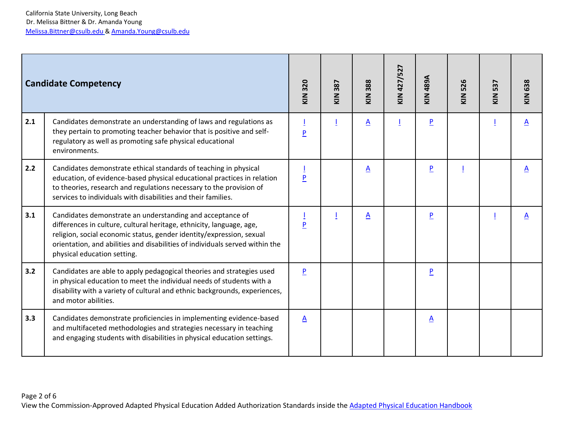|     | <b>Candidate Competency</b>                                                                                                                                                                                                                                                                                              | 320<br>$\frac{2}{3}$ | 387<br>$\frac{2}{2}$ | KIN 388         | KIN 427/527 | <b>A884 NIX</b> | 526<br>$rac{1}{2}$ | 537<br>KIN | <b>KIN 638</b>  |
|-----|--------------------------------------------------------------------------------------------------------------------------------------------------------------------------------------------------------------------------------------------------------------------------------------------------------------------------|----------------------|----------------------|-----------------|-------------|-----------------|--------------------|------------|-----------------|
| 2.1 | Candidates demonstrate an understanding of laws and regulations as<br>they pertain to promoting teacher behavior that is positive and self-<br>regulatory as well as promoting safe physical educational<br>environments.                                                                                                | $\overline{P}$       |                      | $\Delta$        |             | P               |                    |            | $\mathbf{A}$    |
| 2.2 | Candidates demonstrate ethical standards of teaching in physical<br>education, of evidence-based physical educational practices in relation<br>to theories, research and regulations necessary to the provision of<br>services to individuals with disabilities and their families.                                      | P                    |                      | $\underline{A}$ |             | P               |                    |            | $\underline{A}$ |
| 3.1 | Candidates demonstrate an understanding and acceptance of<br>differences in culture, cultural heritage, ethnicity, language, age,<br>religion, social economic status, gender identity/expression, sexual<br>orientation, and abilities and disabilities of individuals served within the<br>physical education setting. | $\overline{P}$       |                      | $\underline{A}$ |             | P               |                    |            | $\underline{A}$ |
| 3.2 | Candidates are able to apply pedagogical theories and strategies used<br>in physical education to meet the individual needs of students with a<br>disability with a variety of cultural and ethnic backgrounds, experiences,<br>and motor abilities.                                                                     | P                    |                      |                 |             | P               |                    |            |                 |
| 3.3 | Candidates demonstrate proficiencies in implementing evidence-based<br>and multifaceted methodologies and strategies necessary in teaching<br>and engaging students with disabilities in physical education settings.                                                                                                    | $\underline{A}$      |                      |                 |             | $\underline{A}$ |                    |            |                 |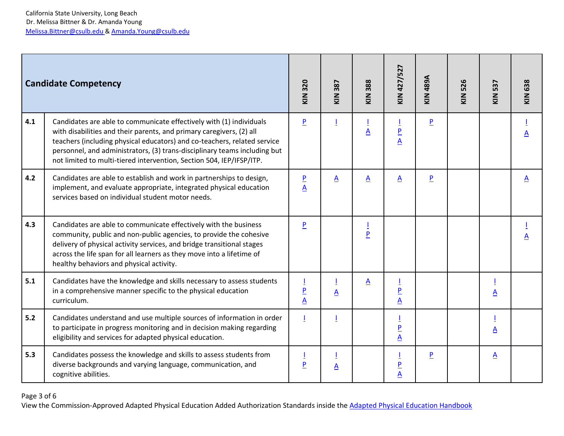|       | <b>Candidate Competency</b>                                                                                                                                                                                                                                                                                                                                                  | 320<br>$\sum_{k=1}^{n}$                    | 387<br>KIN      | 388<br>KIN          | KIN 427/527                                        | <b>A68b NIX</b> | 526<br>KIN | 537<br>KIN               | KIN 638         |
|-------|------------------------------------------------------------------------------------------------------------------------------------------------------------------------------------------------------------------------------------------------------------------------------------------------------------------------------------------------------------------------------|--------------------------------------------|-----------------|---------------------|----------------------------------------------------|-----------------|------------|--------------------------|-----------------|
| 4.1   | Candidates are able to communicate effectively with (1) individuals<br>with disabilities and their parents, and primary caregivers, (2) all<br>teachers (including physical educators) and co-teachers, related service<br>personnel, and administrators, (3) trans-disciplinary teams including but<br>not limited to multi-tiered intervention, Section 504, IEP/IFSP/ITP. | $\overline{P}$                             |                 | $\underline{A}$     | $\overline{\mathsf{P}}$<br>$\overline{\mathbf{A}}$ | P               |            |                          | $\underline{A}$ |
| 4.2   | Candidates are able to establish and work in partnerships to design,<br>implement, and evaluate appropriate, integrated physical education<br>services based on individual student motor needs.                                                                                                                                                                              | $\overline{\mathsf{P}}$<br>$\underline{A}$ | $\underline{A}$ | $\underline{A}$     | $\underline{A}$                                    | $\overline{P}$  |            |                          | $\underline{A}$ |
| 4.3   | Candidates are able to communicate effectively with the business<br>community, public and non-public agencies, to provide the cohesive<br>delivery of physical activity services, and bridge transitional stages<br>across the life span for all learners as they move into a lifetime of<br>healthy behaviors and physical activity.                                        | P                                          |                 | Ī<br>$\overline{P}$ |                                                    |                 |            |                          | A               |
| 5.1   | Candidates have the knowledge and skills necessary to assess students<br>in a comprehensive manner specific to the physical education<br>curriculum.                                                                                                                                                                                                                         | $\overline{\mathsf{P}}$<br>$\underline{A}$ | $\underline{A}$ | $\underline{A}$     | $\overline{P}$<br>$\underline{A}$                  |                 |            | $\underline{A}$          |                 |
| $5.2$ | Candidates understand and use multiple sources of information in order<br>to participate in progress monitoring and in decision making regarding<br>eligibility and services for adapted physical education.                                                                                                                                                                 | $\overline{1}$                             |                 |                     | $\frac{P}{A}$                                      |                 |            | $\underline{A}$          |                 |
| 5.3   | Candidates possess the knowledge and skills to assess students from<br>diverse backgrounds and varying language, communication, and<br>cognitive abilities.                                                                                                                                                                                                                  | P                                          | $\underline{A}$ |                     | $\overline{P}$<br>$\overline{\mathsf{A}}$          | $\overline{P}$  |            | $\underline{\mathsf{A}}$ |                 |

Page 3 of 6

View the Commission-Approved Adapted Physical Education Added Authorization Standards inside the [Adapted Physical Education Handbook](https://www.ctc.ca.gov/docs/default-source/educator-prep/standards/adapted-physical-ed.pdf?sfvrsn=5811e984_19)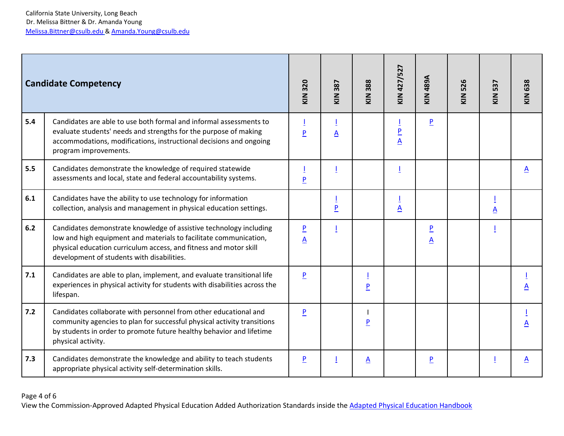|       | <b>Candidate Competency</b>                                                                                                                                                                                                                                | KIN 320                                    | 387<br>$rac{1}{2}$ | KIN 388         | KIN 427/527     | <b>A68b NIX</b>                            | <b>KIN 526</b> | 537<br>KIN:             | KIN 638                  |
|-------|------------------------------------------------------------------------------------------------------------------------------------------------------------------------------------------------------------------------------------------------------------|--------------------------------------------|--------------------|-----------------|-----------------|--------------------------------------------|----------------|-------------------------|--------------------------|
| 5.4   | Candidates are able to use both formal and informal assessments to<br>evaluate students' needs and strengths for the purpose of making<br>accommodations, modifications, instructional decisions and ongoing<br>program improvements.                      | P                                          | $\underline{A}$    |                 | $\frac{P}{A}$   | P                                          |                |                         |                          |
| 5.5   | Candidates demonstrate the knowledge of required statewide<br>assessments and local, state and federal accountability systems.                                                                                                                             | $\overline{P}$                             |                    |                 |                 |                                            |                |                         | $\mathbf{A}$             |
| 6.1   | Candidates have the ability to use technology for information<br>collection, analysis and management in physical education settings.                                                                                                                       |                                            | $\overline{P}$     |                 | $\underline{A}$ |                                            |                | $\overline{\mathbf{A}}$ |                          |
| 6.2   | Candidates demonstrate knowledge of assistive technology including<br>low and high equipment and materials to facilitate communication,<br>physical education curriculum access, and fitness and motor skill<br>development of students with disabilities. | $\overline{\mathsf{P}}$<br>$\underline{A}$ |                    |                 |                 | $\overline{\mathsf{P}}$<br>$\underline{A}$ |                |                         |                          |
| 7.1   | Candidates are able to plan, implement, and evaluate transitional life<br>experiences in physical activity for students with disabilities across the<br>lifespan.                                                                                          | P                                          |                    | P               |                 |                                            |                |                         | A                        |
| $7.2$ | Candidates collaborate with personnel from other educational and<br>community agencies to plan for successful physical activity transitions<br>by students in order to promote future healthy behavior and lifetime<br>physical activity.                  | P                                          |                    | $\overline{P}$  |                 |                                            |                |                         | $\underline{\mathsf{A}}$ |
| 7.3   | Candidates demonstrate the knowledge and ability to teach students<br>appropriate physical activity self-determination skills.                                                                                                                             | P                                          |                    | $\underline{A}$ |                 | P                                          |                |                         | $\mathbf{A}$             |

## Page 4 of 6

View the Commission-Approved Adapted Physical Education Added Authorization Standards inside the [Adapted Physical Education Handbook](https://www.ctc.ca.gov/docs/default-source/educator-prep/standards/adapted-physical-ed.pdf?sfvrsn=5811e984_19)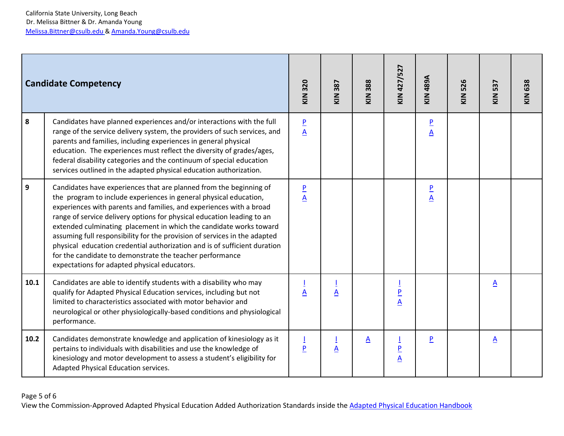|      | <b>Candidate Competency</b>                                                                                                                                                                                                                                                                                                                                                                                                                                                                                                                                                                                                          | KIN 320                                    | 387<br>KIN      | KIN 388         | KIN 427/527   | <b>A68b NIX</b>                           | <b>KIN 526</b> | 537<br>KIN      | KIN 638 |
|------|--------------------------------------------------------------------------------------------------------------------------------------------------------------------------------------------------------------------------------------------------------------------------------------------------------------------------------------------------------------------------------------------------------------------------------------------------------------------------------------------------------------------------------------------------------------------------------------------------------------------------------------|--------------------------------------------|-----------------|-----------------|---------------|-------------------------------------------|----------------|-----------------|---------|
| 8    | Candidates have planned experiences and/or interactions with the full<br>range of the service delivery system, the providers of such services, and<br>parents and families, including experiences in general physical<br>education. The experiences must reflect the diversity of grades/ages,<br>federal disability categories and the continuum of special education<br>services outlined in the adapted physical education authorization.                                                                                                                                                                                         | $\overline{\mathbf{P}}$<br>$\underline{A}$ |                 |                 |               | $\overline{P}$<br>$\underline{A}$         |                |                 |         |
| 9    | Candidates have experiences that are planned from the beginning of<br>the program to include experiences in general physical education,<br>experiences with parents and families, and experiences with a broad<br>range of service delivery options for physical education leading to an<br>extended culminating placement in which the candidate works toward<br>assuming full responsibility for the provision of services in the adapted<br>physical education credential authorization and is of sufficient duration<br>for the candidate to demonstrate the teacher performance<br>expectations for adapted physical educators. | $\overline{\mathsf{P}}$<br>$\underline{A}$ |                 |                 |               | $\overline{P}$<br>$\overline{\mathsf{A}}$ |                |                 |         |
| 10.1 | Candidates are able to identify students with a disability who may<br>qualify for Adapted Physical Education services, including but not<br>limited to characteristics associated with motor behavior and<br>neurological or other physiologically-based conditions and physiological<br>performance.                                                                                                                                                                                                                                                                                                                                | $\underline{A}$                            | $\underline{A}$ |                 | $\frac{P}{A}$ |                                           |                | $\underline{A}$ |         |
| 10.2 | Candidates demonstrate knowledge and application of kinesiology as it<br>pertains to individuals with disabilities and use the knowledge of<br>kinesiology and motor development to assess a student's eligibility for<br>Adapted Physical Education services.                                                                                                                                                                                                                                                                                                                                                                       | $\overline{P}$                             | $\underline{A}$ | $\underline{A}$ | $\frac{P}{A}$ | P                                         |                | $\underline{A}$ |         |

## Page 5 of 6

View the Commission-Approved Adapted Physical Education Added Authorization Standards inside the [Adapted Physical Education Handbook](https://www.ctc.ca.gov/docs/default-source/educator-prep/standards/adapted-physical-ed.pdf?sfvrsn=5811e984_19)